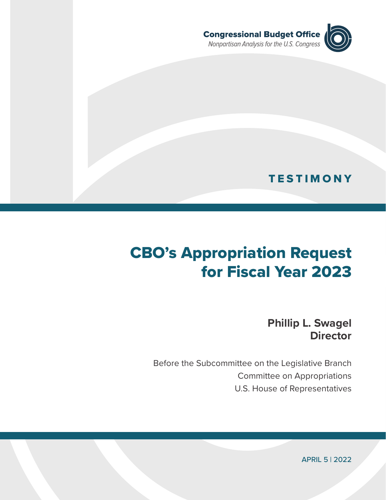

# **TESTIMONY**

# CBO's Appropriation Request for Fiscal Year 2023

**Phillip L. Swagel Director**

Before the Subcommittee on the Legislative Branch Committee on Appropriations U.S. House of Representatives

APRIL 5 | 2022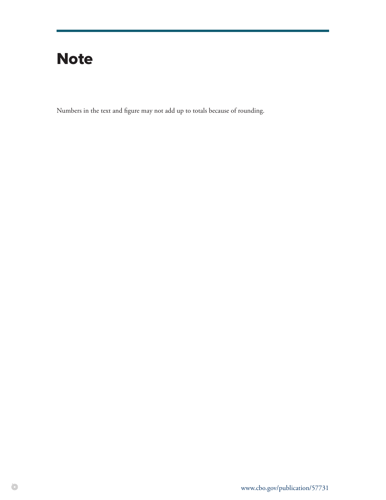# **Note**

Numbers in the text and figure may not add up to totals because of rounding.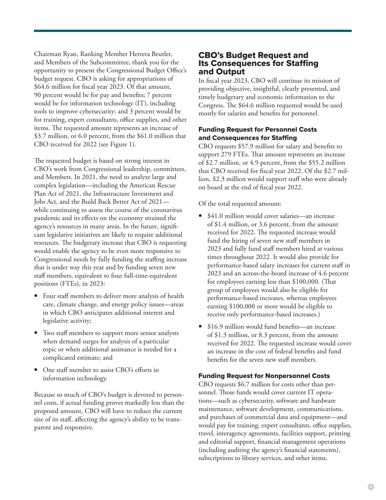Chairman Ryan, Ranking Member Herrera Beutler, and Members of the Subcommittee, thank you for the opportunity to present the Congressional Budget Office's budget request. CBO is asking for appropriations of \$64.6 million for fiscal year 2023. Of that amount, 90 percent would be for pay and benefits; 7 percent would be for information technology (IT), including tools to improve cybersecurity; and 3 percent would be for training, expert consultants, office supplies, and other items. The requested amount represents an increase of \$3.7 million, or 6.0 percent, from the \$61.0 million that CBO received for 2022 (see [Figure 1\)](#page-3-0).

The requested budget is based on strong interest in CBO's work from Congressional leadership, committees, and Members. In 2021, the need to analyze large and complex legislation—including the American Rescue Plan Act of 2021, the Infrastructure Investment and Jobs Act, and the Build Back Better Act of 2021 while continuing to assess the course of the coronavirus pandemic and its effects on the economy strained the agency's resources in many areas. In the future, significant legislative initiatives are likely to require additional resources. The budgetary increase that CBO is requesting would enable the agency to be even more responsive to Congressional needs by fully funding the staffing increase that is under way this year and by funding seven new staff members, equivalent to four full-time-equivalent positions (FTEs), in 2023:

- Four staff members to deliver more analysis of health care, climate change, and energy policy issues—areas in which CBO anticipates additional interest and legislative activity;
- Two staff members to support more senior analysts when demand surges for analysis of a particular topic or when additional assistance is needed for a complicated estimate; and
- One staff member to assist CBO's efforts in information technology.

Because so much of CBO's budget is devoted to personnel costs, if actual funding proves markedly less than the proposed amount, CBO will have to reduce the current size of its staff, affecting the agency's ability to be transparent and responsive.

# CBO's Budget Request and Its Consequences for Staffing and Output

In fiscal year 2023, CBO will continue its mission of providing objective, insightful, clearly presented, and timely budgetary and economic information to the Congress. The \$64.6 million requested would be used mostly for salaries and benefits for personnel.

# Funding Request for Personnel Costs and Consequences for Staffing

CBO requests \$57.9 million for salary and benefits to support 279 FTEs. That amount represents an increase of \$2.7 million, or 4.9 percent, from the \$55.2 million that CBO received for fiscal year 2022. Of the \$2.7 million, \$2.3 million would support staff who were already on board at the end of fiscal year 2022.

Of the total requested amount:

- \$41.0 million would cover salaries—an increase of \$1.4 million, or 3.6 percent, from the amount received for 2022. The requested increase would fund the hiring of seven new staff members in 2023 and fully fund staff members hired at various times throughout 2022. It would also provide for performance-based salary increases for current staff in 2023 and an across-the-board increase of 4.6 percent for employees earning less than \$100,000. (That group of employees would also be eligible for performance-based increases, whereas employees earning \$100,000 or more would be eligible to receive only performance-based increases.)
- \$16.9 million would fund benefits—an increase of \$1.3 million, or 8.3 percent, from the amount received for 2022. The requested increase would cover an increase in the cost of federal benefits and fund benefits for the seven new staff members.

## Funding Request for Nonpersonnel Costs

CBO requests \$6.7 million for costs other than personnel. Those funds would cover current IT operations—such as cybersecurity, software and hardware maintenance, software development, communications, and purchases of commercial data and equipment—and would pay for training, expert consultants, office supplies, travel, interagency agreements, facilities support, printing and editorial support, financial management operations (including auditing the agency's financial statements), subscriptions to library services, and other items.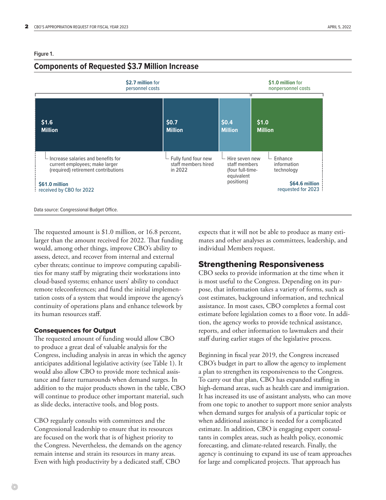# <span id="page-3-0"></span>**Components of Requested \$3.7 Million Increase**



The requested amount is \$1.0 million, or 16.8 percent, larger than the amount received for 2022. That funding would, among other things, improve CBO's ability to assess, detect, and recover from internal and external cyber threats; continue to improve computing capabilities for many staff by migrating their workstations into cloud-based systems; enhance users' ability to conduct remote teleconferences; and fund the initial implementation costs of a system that would improve the agency's continuity of operations plans and enhance telework by its human resources staff.

## Consequences for Output

The requested amount of funding would allow CBO to produce a great deal of valuable analysis for the Congress, including analysis in areas in which the agency anticipates additional legislative activity (see [Table 1\)](#page-4-0). It would also allow CBO to provide more technical assistance and faster turnarounds when demand surges. In addition to the major products shown in the table, CBO will continue to produce other important material, such as slide decks, interactive tools, and blog posts.

CBO regularly consults with committees and the Congressional leadership to ensure that its resources are focused on the work that is of highest priority to the Congress. Nevertheless, the demands on the agency remain intense and strain its resources in many areas. Even with high productivity by a dedicated staff, CBO

expects that it will not be able to produce as many estimates and other analyses as committees, leadership, and individual Members request.

# Strengthening Responsiveness

CBO seeks to provide information at the time when it is most useful to the Congress. Depending on its purpose, that information takes a variety of forms, such as cost estimates, background information, and technical assistance. In most cases, CBO completes a formal cost estimate before legislation comes to a floor vote. In addition, the agency works to provide technical assistance, reports, and other information to lawmakers and their staff during earlier stages of the legislative process.

Beginning in fiscal year 2019, the Congress increased CBO's budget in part to allow the agency to implement a plan to strengthen its responsiveness to the Congress. To carry out that plan, CBO has expanded staffing in high-demand areas, such as health care and immigration. It has increased its use of assistant analysts, who can move from one topic to another to support more senior analysts when demand surges for analysis of a particular topic or when additional assistance is needed for a complicated estimate. In addition, CBO is engaging expert consultants in complex areas, such as health policy, economic forecasting, and climate-related research. Finally, the agency is continuing to expand its use of team approaches for large and complicated projects. That approach has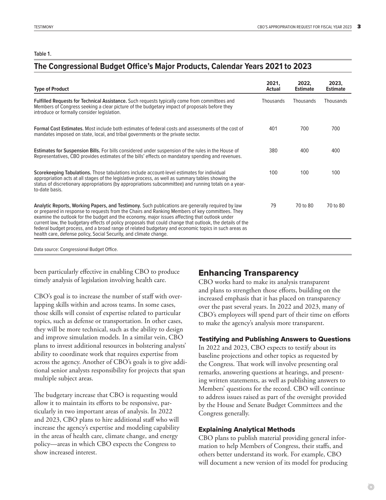#### <span id="page-4-0"></span>**Table 1 .**

# **The Congressional Budget Office's Major Products, Calendar Years 2021 to 2023**

| <b>Type of Product</b>                                                                                                                                                                                                                                                                                                                                                                                                                                                                                                                                                                        | 2021,<br><b>Actual</b> | 2022.<br><b>Estimate</b> | 2023,<br><b>Estimate</b> |
|-----------------------------------------------------------------------------------------------------------------------------------------------------------------------------------------------------------------------------------------------------------------------------------------------------------------------------------------------------------------------------------------------------------------------------------------------------------------------------------------------------------------------------------------------------------------------------------------------|------------------------|--------------------------|--------------------------|
| Fulfilled Requests for Technical Assistance. Such requests typically come from committees and<br>Members of Congress seeking a clear picture of the budgetary impact of proposals before they<br>introduce or formally consider legislation.                                                                                                                                                                                                                                                                                                                                                  | Thousands              | Thousands                | <b>Thousands</b>         |
| <b>Formal Cost Estimates.</b> Most include both estimates of federal costs and assessments of the cost of<br>mandates imposed on state, local, and tribal governments or the private sector.                                                                                                                                                                                                                                                                                                                                                                                                  | 401                    | 700                      | 700                      |
| Estimates for Suspension Bills. For bills considered under suspension of the rules in the House of<br>Representatives, CBO provides estimates of the bills' effects on mandatory spending and revenues.                                                                                                                                                                                                                                                                                                                                                                                       | 380                    | 400                      | 400                      |
| Scorekeeping Tabulations. Those tabulations include account-level estimates for individual<br>appropriation acts at all stages of the legislative process, as well as summary tables showing the<br>status of discretionary appropriations (by appropriations subcommittee) and running totals on a year-<br>to-date basis.                                                                                                                                                                                                                                                                   | 100                    | 100                      | 100                      |
| Analytic Reports, Working Papers, and Testimony. Such publications are generally required by law<br>or prepared in response to requests from the Chairs and Ranking Members of key committees. They<br>examine the outlook for the budget and the economy, major issues affecting that outlook under<br>current law, the budgetary effects of policy proposals that could change that outlook, the details of the<br>federal budget process, and a broad range of related budgetary and economic topics in such areas as<br>health care, defense policy, Social Security, and climate change. | 79                     | 70 to 80                 | 70 to 80                 |
| Data source: Congressional Budget Office.                                                                                                                                                                                                                                                                                                                                                                                                                                                                                                                                                     |                        |                          |                          |

been particularly effective in enabling CBO to produce timely analysis of legislation involving health care.

CBO's goal is to increase the number of staff with overlapping skills within and across teams. In some cases, those skills will consist of expertise related to particular topics, such as defense or transportation. In other cases, they will be more technical, such as the ability to design and improve simulation models. In a similar vein, CBO plans to invest additional resources in bolstering analysts' ability to coordinate work that requires expertise from across the agency. Another of CBO's goals is to give additional senior analysts responsibility for projects that span multiple subject areas.

The budgetary increase that CBO is requesting would allow it to maintain its efforts to be responsive, particularly in two important areas of analysis. In 2022 and 2023, CBO plans to hire additional staff who will increase the agency's expertise and modeling capability in the areas of health care, climate change, and energy policy—areas in which CBO expects the Congress to show increased interest.

# Enhancing Transparency

CBO works hard to make its analysis transparent and plans to strengthen those efforts, building on the increased emphasis that it has placed on transparency over the past several years. In 2022 and 2023, many of CBO's employees will spend part of their time on efforts to make the agency's analysis more transparent.

#### Testifying and Publishing Answers to Questions

In 2022 and 2023, CBO expects to testify about its baseline projections and other topics as requested by the Congress. That work will involve presenting oral remarks, answering questions at hearings, and presenting written statements, as well as publishing answers to Members' questions for the record. CBO will continue to address issues raised as part of the oversight provided by the House and Senate Budget Committees and the Congress generally.

#### Explaining Analytical Methods

CBO plans to publish material providing general information to help Members of Congress, their staffs, and others better understand its work. For example, CBO will document a new version of its model for producing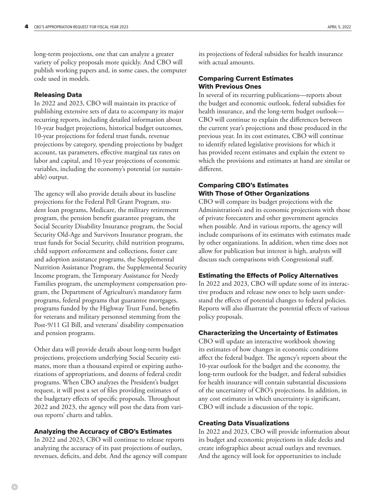long-term projections, one that can analyze a greater variety of policy proposals more quickly. And CBO will publish working papers and, in some cases, the computer code used in models.

#### Releasing Data

In 2022 and 2023, CBO will maintain its practice of publishing extensive sets of data to accompany its major recurring reports, including detailed information about 10-year budget projections, historical budget outcomes, 10-year projections for federal trust funds, revenue projections by category, spending projections by budget account, tax parameters, effective marginal tax rates on labor and capital, and 10-year projections of economic variables, including the economy's potential (or sustainable) output.

The agency will also provide details about its baseline projections for the Federal Pell Grant Program, student loan programs, Medicare, the military retirement program, the pension benefit guarantee program, the Social Security Disability Insurance program, the Social Security Old-Age and Survivors Insurance program, the trust funds for Social Security, child nutrition programs, child support enforcement and collections, foster care and adoption assistance programs, the Supplemental Nutrition Assistance Program, the Supplemental Security Income program, the Temporary Assistance for Needy Families program, the unemployment compensation program, the Department of Agriculture's mandatory farm programs, federal programs that guarantee mortgages, programs funded by the Highway Trust Fund, benefits for veterans and military personnel stemming from the Post-9/11 GI Bill, and veterans' disability compensation and pension programs.

Other data will provide details about long-term budget projections, projections underlying Social Security estimates, more than a thousand expired or expiring authorizations of appropriations, and dozens of federal credit programs. When CBO analyzes the President's budget request, it will post a set of files providing estimates of the budgetary effects of specific proposals. Throughout 2022 and 2023, the agency will post the data from various reports' charts and tables.

## Analyzing the Accuracy of CBO's Estimates

In 2022 and 2023, CBO will continue to release reports analyzing the accuracy of its past projections of outlays, revenues, deficits, and debt. And the agency will compare its projections of federal subsidies for health insurance with actual amounts.

## Comparing Current Estimates With Previous Ones

In several of its recurring publications—reports about the budget and economic outlook, federal subsidies for health insurance, and the long-term budget outlook— CBO will continue to explain the differences between the current year's projections and those produced in the previous year. In its cost estimates, CBO will continue to identify related legislative provisions for which it has provided recent estimates and explain the extent to which the provisions and estimates at hand are similar or different.

## Comparing CBO's Estimates With Those of Other Organizations

CBO will compare its budget projections with the Administration's and its economic projections with those of private forecasters and other government agencies when possible. And in various reports, the agency will include comparisons of its estimates with estimates made by other organizations. In addition, when time does not allow for publication but interest is high, analysts will discuss such comparisons with Congressional staff.

#### Estimating the Effects of Policy Alternatives

In 2022 and 2023, CBO will update some of its interactive products and release new ones to help users understand the effects of potential changes to federal policies. Reports will also illustrate the potential effects of various policy proposals.

## Characterizing the Uncertainty of Estimates

CBO will update an interactive workbook showing its estimates of how changes in economic conditions affect the federal budget. The agency's reports about the 10-year outlook for the budget and the economy, the long-term outlook for the budget, and federal subsidies for health insurance will contain substantial discussions of the uncertainty of CBO's projections. In addition, in any cost estimates in which uncertainty is significant, CBO will include a discussion of the topic.

#### Creating Data Visualizations

In 2022 and 2023, CBO will provide information about its budget and economic projections in slide decks and create infographics about actual outlays and revenues. And the agency will look for opportunities to include